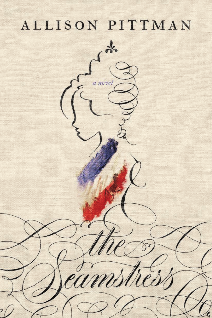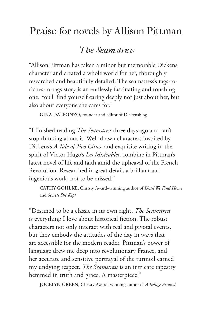## Praise for novels by Allison Pittman

## *The Seamstress*

"Allison Pittman has taken a minor but memorable Dickens character and created a whole world for her, thoroughly researched and beautifully detailed. The seamstress's rags-toriches-to-rags story is an endlessly fascinating and touching one. You'll find yourself caring deeply not just about her, but also about everyone she cares for."

**GINA DALFONZO,** founder and editor of Dickensblog

"I finished reading *The Seamstress* three days ago and can't stop thinking about it. Well-drawn characters inspired by Dickens's *A Tale of Two Cities*, and exquisite writing in the spirit of Victor Hugo's *Les Misérables*, combine in Pittman's latest novel of life and faith amid the upheaval of the French Revolution. Researched in great detail, a brilliant and ingenious work, not to be missed."

**CATHY GOHLKE,** Christy Award–winning author of *Until We Find Home* and *Secrets She Kept*

"Destined to be a classic in its own right, *The Seamstress* is everything I love about historical fiction. The robust characters not only interact with real and pivotal events, but they embody the attitudes of the day in ways that are accessible for the modern reader. Pittman's power of language drew me deep into revolutionary France, and her accurate and sensitive portrayal of the turmoil earned my undying respect. *The Seamstress* is an intricate tapestry hemmed in truth and grace. A masterpiece."

**JOCELYN GREEN,** Christy Award–winning author of *A Refuge Assured*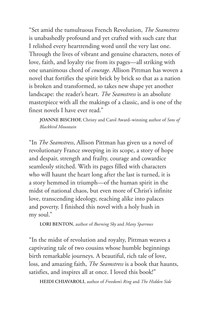"Set amid the tumultuous French Revolution, *The Seamstress* is unabashedly profound and yet crafted with such care that I relished every heartrending word until the very last one. Through the lives of vibrant and genuine characters, notes of love, faith, and loyalty rise from its pages—all striking with one unanimous chord of *courage*. Allison Pittman has woven a novel that fortifies the spirit brick by brick so that as a nation is broken and transformed, so takes new shape yet another landscape: the reader's heart. *The Seamstress* is an absolute masterpiece with all the makings of a classic, and is one of the finest novels I have ever read."

**JOANNE BISCHOF,** Christy and Carol Award–winning author of *Sons of Blackbird Mountain*

"In *The Seamstress*, Allison Pittman has given us a novel of revolutionary France sweeping in its scope, a story of hope and despair, strength and frailty, courage and cowardice seamlessly stitched. With its pages filled with characters who will haunt the heart long after the last is turned, it is a story hemmed in triumph—of the human spirit in the midst of national chaos, but even more of Christ's infinite love, transcending ideology, reaching alike into palaces and poverty. I finished this novel with a holy hush in my soul."

**LORI BENTON,** author of *Burning Sky* and *Many Sparrows*

"In the midst of revolution and royalty, Pittman weaves a captivating tale of two cousins whose humble beginnings birth remarkable journeys. A beautiful, rich tale of love, loss, and amazing faith, *The Seamstress* is a book that haunts, satisfies, and inspires all at once. I loved this book!"

**HEIDI CHIAVAROLI,** author of *Freedom's Ring* and *The Hidden Side*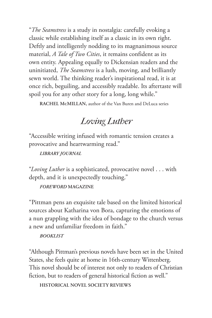"*The Seamstress* is a study in nostalgia: carefully evoking a classic while establishing itself as a classic in its own right. Deftly and intelligently nodding to its magnanimous source material, *A Tale of Two Cities*, it remains confident as its own entity. Appealing equally to Dickensian readers and the uninitiated, *The Seamstress* is a lush, moving, and brilliantly sewn world. The thinking reader's inspirational read, it is at once rich, beguiling, and accessibly readable. Its aftertaste will spoil you for any other story for a long, long while."

**RACHEL McMILLAN,** author of the Van Buren and DeLuca series

## *Loving Luther*

"Accessible writing infused with romantic tension creates a provocative and heartwarming read."

*LIBRARY JOURNAL*

"*Loving Luther* is a sophisticated, provocative novel . . . with depth, and it is unexpectedly touching."

*FOREWORD* **MAGAZINE**

"Pittman pens an exquisite tale based on the limited historical sources about Katharina von Bora, capturing the emotions of a nun grappling with the idea of bondage to the church versus a new and unfamiliar freedom in faith."

*BOOKLIST*

"Although Pittman's previous novels have been set in the United States, she feels quite at home in 16th-century Wittenberg. This novel should be of interest not only to readers of Christian fiction, but to readers of general historical fiction as well."

**HISTORICAL NOVEL SOCIETY REVIEWS**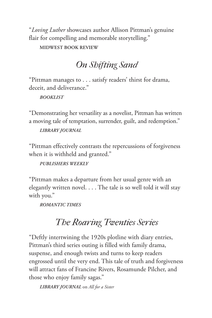"*Loving Luther* showcases author Allison Pittman's genuine flair for compelling and memorable storytelling."

**MIDWEST BOOK REVIEW**

## *On Shifting Sand*

"Pittman manages to . . . satisfy readers' thirst for drama, deceit, and deliverance."

*BOOKLIST*

"Demonstrating her versatility as a novelist, Pittman has written a moving tale of temptation, surrender, guilt, and redemption."

*LIBRARY JOURNAL*

"Pittman effectively contrasts the repercussions of forgiveness when it is withheld and granted."

*PUBLISHERS WEEKLY*

"Pittman makes a departure from her usual genre with an elegantly written novel. . . . The tale is so well told it will stay with you."

*ROMANTIC TIMES*

## *The Roaring Twenties Series*

"Deftly intertwining the 1920s plotline with diary entries, Pittman's third series outing is filled with family drama, suspense, and enough twists and turns to keep readers engrossed until the very end. This tale of truth and forgiveness will attract fans of Francine Rivers, Rosamunde Pilcher, and those who enjoy family sagas."

*LIBRARY JOURNAL* on *All for a Sister*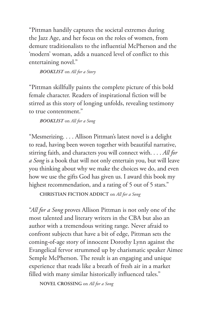"Pittman handily captures the societal extremes during the Jazz Age, and her focus on the roles of women, from demure traditionalists to the influential McPherson and the 'modern' woman, adds a nuanced level of conflict to this entertaining novel."

*BOOKLIST* on *All for a Story*

"Pittman skillfully paints the complete picture of this bold female character. Readers of inspirational fiction will be stirred as this story of longing unfolds, revealing testimony to true contentment."

*BOOKLIST* on *All for a Song*

"Mesmerizing. . . . Allison Pittman's latest novel is a delight to read, having been woven together with beautiful narrative, stirring faith, and characters you will connect with. . . . *All for a Song* is a book that will not only entertain you, but will leave you thinking about why we make the choices we do, and even how we use the gifts God has given us. I award this book my highest recommendation, and a rating of 5 out of 5 stars."

**CHRISTIAN FICTION ADDICT** on *All for a Song*

"*All for a Song* proves Allison Pittman is not only one of the most talented and literary writers in the CBA but also an author with a tremendous writing range. Never afraid to confront subjects that have a bit of edge, Pittman sets the coming-of-age story of innocent Dorothy Lynn against the Evangelical fervor strummed up by charismatic speaker Aimee Semple McPherson. The result is an engaging and unique experience that reads like a breath of fresh air in a market filled with many similar historically influenced tales."

**NOVEL CROSSING** on *All for a Song*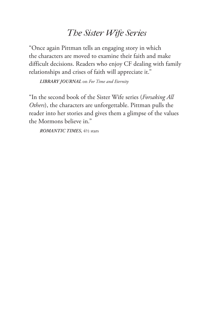## *The Sister Wife Series*

"Once again Pittman tells an engaging story in which the characters are moved to examine their faith and make difficult decisions. Readers who enjoy CF dealing with family relationships and crises of faith will appreciate it."

*LIBRARY JOURNAL* on *For Time and Eternity*

"In the second book of the Sister Wife series (*Forsaking All Others*), the characters are unforgettable. Pittman pulls the reader into her stories and gives them a glimpse of the values the Mormons believe in."

*ROMANTIC TIMES***,** 4½ stars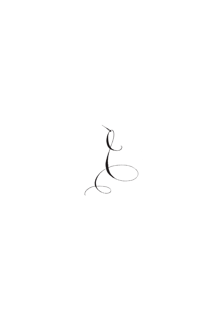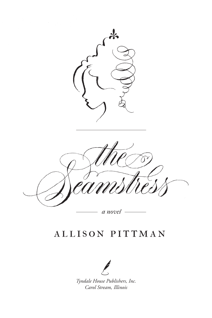

# allison pittman



*Tyndale House Publishers, Inc. Carol Stream, Illinois*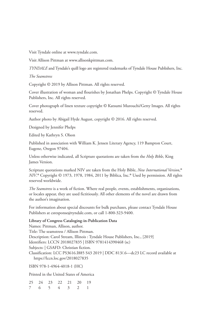Visit Tyndale online at www.tyndale.com.

Visit Allison Pittman at www.allisonkpittman.com.

*TYNDALE* and Tyndale's quill logo are registered trademarks of Tyndale House Publishers, Inc.

*The Seamstress*

Copyright © 2019 by Allison Pittman. All rights reserved.

Cover illustration of woman and flourishes by Jonathan Phelps. Copyright © Tyndale House Publishers, Inc. All rights reserved.

Cover photograph of linen texture copyright © Katsumi Murouchi/Getty Images. All rights reserved.

Author photo by Abigail Hyde August, copyright © 2016. All rights reserved.

Designed by Jennifer Phelps

Edited by Kathryn S. Olson

Published in association with William K. Jensen Literary Agency, 119 Bampton Court, Eugene, Oregon 97404.

Unless otherwise indicated, all Scripture quotations are taken from the *Holy Bible*, King James Version.

Scripture quotations marked NIV are taken from the Holy Bible, *New International Version*, Scripture quotations marked NIV are taken from the Holy Bible, *New International Version*,®<br>*NIV*.® Copyright © 1973, 1978, 1984, 2011 by Biblica, Inc.® Used by permission. All rights reserved worldwide.

*The Seamstress* is a work of fiction. Where real people, events, establishments, organizations, or locales appear, they are used fictitiously. All other elements of the novel are drawn from the author's imagination.

For information about special discounts for bulk purchases, please contact Tyndale House Publishers at csresponse@tyndale.com, or call 1-800-323-9400.

#### **Library of Congress Cataloging-in-Publication Data**

Names: Pittman, Allison, author. Title: The seamstress / Allison Pittman. Description: Carol Stream, Illinois : Tyndale House Publishers, Inc., [2019] Identifiers: LCCN 2018027835 | ISBN 9781414390468 (sc) Subjects: | GSAFD: Christian fiction. Classification: LCC PS3616.I885 S43 2019 | DDC 813/.6—dc23 LC record available at

https://lccn.loc.gov/2018027835

ISBN 978-1-4964-4018-1 (HC)

Printed in the United States of America

25 24 23 22 21 20 19 7 6 5 4 3 2 1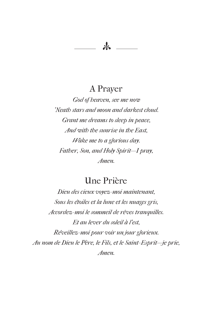#### A Prayer

 $\frac{1}{\sqrt{2}}$ 

*God of heaven, see me now 'Neath stars and moon and darkest cloud. Grant me dreams to sleep in peace, And with the sunrise in the East, Wake me to a glorious day. Father, Son, and Holy Spirit—I pray, Amen.*

### Une Prière

*Dieu des cieux voyez-moi maintenant, Sous les étoiles et la lune et les nuages gris, Accordez-moi le sommeil de rêves tranquilles. Et au lever du soleil à l'est, Réveillez-moi pour voir un jour glorieux. Au nom de Dieu le Père, le Fils, et le Saint-Esprit—je prie, Amen.*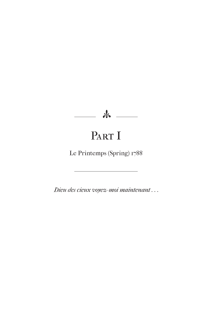$\overline{\phantom{a}}$  \*  $\overline{\phantom{a}}$ 

# PART I

Le Printemps (Spring) 1788

*Dieu des cieux voyez-moi maintenant . . .*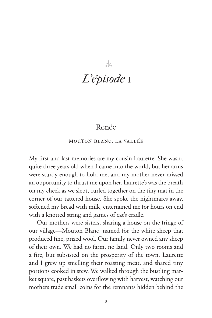#### $\lambda$

# *L'épisode 1*

#### Renée

#### mouton blanc, la vallée

My first and last memories are my cousin Laurette. She wasn't quite three years old when I came into the world, but her arms were sturdy enough to hold me, and my mother never missed an opportunity to thrust me upon her. Laurette's was the breath on my cheek as we slept, curled together on the tiny mat in the corner of our tattered house. She spoke the nightmares away, softened my bread with milk, entertained me for hours on end with a knotted string and games of cat's cradle.

Our mothers were sisters, sharing a house on the fringe of our village— Mouton Blanc, named for the white sheep that produced fine, prized wool. Our family never owned any sheep of their own. We had no farm, no land. Only two rooms and a fire, but subsisted on the prosperity of the town. Laurette and I grew up smelling their roasting meat, and shared tiny portions cooked in stew. We walked through the bustling market square, past baskets overflowing with harvest, watching our mothers trade small coins for the remnants hidden behind the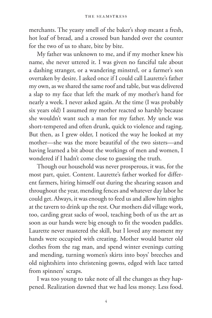merchants. The yeasty smell of the baker's shop meant a fresh, hot loaf of bread, and a crossed bun handed over the counter for the two of us to share, bite by bite.

My father was unknown to me, and if my mother knew his name, she never uttered it. I was given no fanciful tale about a dashing stranger, or a wandering minstrel, or a farmer's son overtaken by desire. I asked once if I could call Laurette's father my own, as we shared the same roof and table, but was delivered a slap to my face that left the mark of my mother's hand for nearly a week. I never asked again. At the time (I was probably six years old) I assumed my mother reacted so harshly because she wouldn't want such a man for my father. My uncle was short-tempered and often drunk, quick to violence and raging. But then, as I grew older, I noticed the way he looked at my mother— she was the more beautiful of the two sisters— and having learned a bit about the workings of men and women, I wondered if I hadn't come close to guessing the truth.

Though our household was never prosperous, it was, for the most part, quiet. Content. Laurette's father worked for different farmers, hiring himself out during the shearing season and throughout the year, mending fences and whatever day labor he could get. Always, it was enough to feed us and allow him nights at the tavern to drink up the rest. Our mothers did village work, too, carding great sacks of wool, teaching both of us the art as soon as our hands were big enough to fit the wooden paddles. Laurette never mastered the skill, but I loved any moment my hands were occupied with creating. Mother would barter old clothes from the rag man, and spend winter evenings cutting and mending, turning women's skirts into boys' breeches and old nightshirts into christening gowns, edged with lace tatted from spinners' scraps.

I was too young to take note of all the changes as they happened. Realization dawned that we had less money. Less food.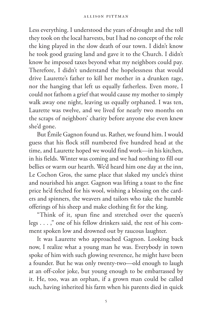Less everything. I understood the years of drought and the toll they took on the local harvests, but I had no concept of the role the king played in the slow death of our town. I didn't know he took good grazing land and gave it to the Church. I didn't know he imposed taxes beyond what my neighbors could pay. Therefore, I didn't understand the hopelessness that would drive Laurette's father to kill her mother in a drunken rage, nor the hanging that left us equally fatherless. Even more, I could not fathom a grief that would cause my mother to simply walk away one night, leaving us equally orphaned. I was ten, Laurette was twelve, and we lived for nearly two months on the scraps of neighbors' charity before anyone else even knew she'd gone.

But Émile Gagnon found us. Rather, we found him. I would guess that his flock still numbered five hundred head at the time, and Laurette hoped we would find work—in his kitchen, in his fields. Winter was coming and we had nothing to fill our bellies or warm our hearth. We'd heard him one day at the inn, Le Cochon Gros, the same place that slaked my uncle's thirst and nourished his anger. Gagnon was lifting a toast to the fine price he'd fetched for his wool, wishing a blessing on the carders and spinners, the weavers and tailors who take the humble offerings of his sheep and make clothing fit for the king.

"Think of it, spun fine and stretched over the queen's legs . . . ," one of his fellow drinkers said, the rest of his comment spoken low and drowned out by raucous laughter.

It was Laurette who approached Gagnon. Looking back now, I realize what a young man he was. Everybody in town spoke of him with such glowing reverence, he might have been a founder. But he was only twenty-two—old enough to laugh at an off-color joke, but young enough to be embarrassed by it. He, too, was an orphan, if a grown man could be called such, having inherited his farm when his parents died in quick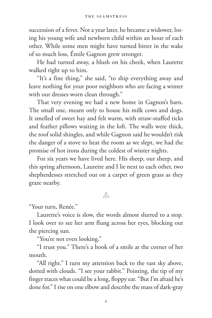succession of a fever. Not a year later, he became a widower, losing his young wife and newborn child within an hour of each other. While some men might have turned bitter in the wake of so much loss, Émile Gagnon grew stronger.

He had turned away, a blush on his cheek, when Laurette walked right up to him.

"It's a fine thing," she said, "to ship everything away and leave nothing for your poor neighbors who are facing a winter with our dresses worn clean through."

That very evening we had a new home in Gagnon's barn. The small one, meant only to house his milk cows and dogs. It smelled of sweet hay and felt warm, with straw-stuffed ticks and feather pillows waiting in the loft. The walls were thick, the roof solid shingles, and while Gagnon said he wouldn't risk the danger of a stove to heat the room as we slept, we had the promise of hot irons during the coldest of winter nights.

For six years we have lived here. His sheep, our sheep, and this spring afternoon, Laurette and I lie next to each other, two shepherdesses stretched out on a carpet of green grass as they graze nearby.

 $\mathcal{N}_{\mathbf{a}}$ 

"Your turn, Renée."

Laurette's voice is slow, the words almost slurred to a stop. I look over to see her arm flung across her eyes, blocking out the piercing sun.

"You're not even looking."

"I trust you." There's a hook of a smile at the corner of her mouth.

"All right." I turn my attention back to the vast sky above, dotted with clouds. "I see your rabbit." Pointing, the tip of my finger traces what could be a long, floppy ear. "But I'm afraid he's done for." I rise on one elbow and describe the mass of dark-gray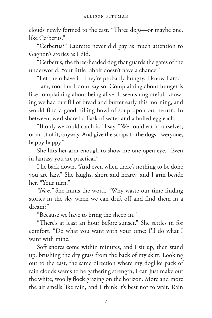clouds newly formed to the east. "Three dogs—or maybe one, like Cerberus."

"Cerberus?" Laurette never did pay as much attention to Gagnon's stories as I did.

"Cerberus, the three-headed dog that guards the gates of the underworld. Your little rabbit doesn't have a chance."

"Let them have it. They're probably hungry. I know I am."

I am, too, but I don't say so. Complaining about hunger is like complaining about being alive. It seems ungrateful, knowing we had our fill of bread and butter early this morning, and would find a good, filling bowl of soup upon our return. In between, we'd shared a flask of water and a boiled egg each.

"If only we could catch it," I say. "We could eat it ourselves, or most of it, anyway. And give the scraps to the dogs. Everyone, happy happy."

She lifts her arm enough to show me one open eye. "Even in fantasy you are practical."

I lie back down. "And even when there's nothing to be done you are lazy." She laughs, short and hearty, and I grin beside her. "Your turn."

*"Non."* She hums the word. "Why waste our time finding stories in the sky when we can drift off and find them in a dream?"

"Because we have to bring the sheep in."

"There's at least an hour before sunset." She settles in for comfort. "Do what you want with your time; I'll do what I want with mine."

Soft snores come within minutes, and I sit up, then stand up, brushing the dry grass from the back of my skirt. Looking out to the east, the same direction where my doglike pack of rain clouds seems to be gathering strength, I can just make out the white, woolly flock grazing on the horizon. More and more the air smells like rain, and I think it's best not to wait. Rain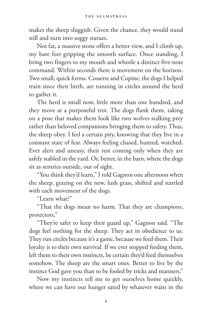makes the sheep sluggish. Given the chance, they would stand still and turn into soggy statues.

Not far, a massive stone offers a better view, and I climb up, my bare feet gripping the smooth surface. Once standing, I bring two fingers to my mouth and whistle a distinct five-note command. Within seconds there is movement on the horizon. Two small, quick forms. Cossette and Copine, the dogs I helped train since their birth, are running in circles around the herd to gather it.

The herd is small now, little more than one hundred, and they move at a purposeful trot. The dogs flank them, taking on a pose that makes them look like two wolves stalking prey rather than beloved companions bringing them to safety. Thus, the sheep obey. I feel a certain pity, knowing that they live in a constant state of fear. Always feeling chased, hunted, watched. Ever alert and uneasy, their rest coming only when they are safely stabled in the yard. Or, better, in the barn, where the dogs sit as sentries outside, out of sight.

"You think they'd learn," I told Gagnon one afternoon when the sheep, grazing on the new, lush grass, shifted and startled with each movement of the dogs.

"Learn what?"

"That the dogs mean no harm. That they are champions, protectors."

"They're safer to keep their guard up," Gagnon said. "The dogs feel nothing for the sheep. They act in obedience to us. They run circles because it's a game, because we feed them. Their loyalty is to their own survival. If we ever stopped feeding them, left them to their own instincts, be certain they'd feed themselves somehow. The sheep are the smart ones. Better to live by the instinct God gave you than to be fooled by tricks and manners."

Now my instincts tell me to get ourselves home quickly, where we can have our hunger sated by whatever waits in the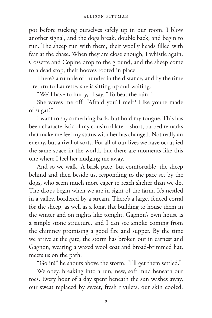pot before tucking ourselves safely up in our room. I blow another signal, and the dogs break, double back, and begin to run. The sheep run with them, their woolly heads filled with fear at the chase. When they are close enough, I whistle again. Cossette and Copine drop to the ground, and the sheep come to a dead stop, their hooves rooted in place.

There's a rumble of thunder in the distance, and by the time I return to Laurette, she is sitting up and waiting.

"We'll have to hurry," I say. "To beat the rain."

She waves me off. "Afraid you'll melt? Like you're made of sugar?"

I want to say something back, but hold my tongue. This has been characteristic of my cousin of late—short, barbed remarks that make me feel my status with her has changed. Not really an enemy, but a rival of sorts. For all of our lives we have occupied the same space in the world, but there are moments like this one where I feel her nudging me away.

And so we walk. A brisk pace, but comfortable, the sheep behind and then beside us, responding to the pace set by the dogs, who seem much more eager to reach shelter than we do. The drops begin when we are in sight of the farm. It's nestled in a valley, bordered by a stream. There's a large, fenced corral for the sheep, as well as a long, flat building to house them in the winter and on nights like tonight. Gagnon's own house is a simple stone structure, and I can see smoke coming from the chimney promising a good fire and supper. By the time we arrive at the gate, the storm has broken out in earnest and Gagnon, wearing a waxed wool coat and broad-brimmed hat, meets us on the path.

"Go in!" he shouts above the storm. "I'll get them settled."

We obey, breaking into a run, new, soft mud beneath our toes. Every hour of a day spent beneath the sun washes away, our sweat replaced by sweet, fresh rivulets, our skin cooled.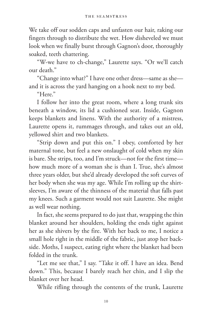We take off our sodden caps and unfasten our hair, raking our fingers through to distribute the wet. How disheveled we must look when we finally burst through Gagnon's door, thoroughly soaked, teeth chattering.

"W-we have to ch-change," Laurette says. "Or we'll catch our death."

"Change into what?" I have one other dress—same as she and it is across the yard hanging on a hook next to my bed.

"Here."

I follow her into the great room, where a long trunk sits beneath a window, its lid a cushioned seat. Inside, Gagnon keeps blankets and linens. With the authority of a mistress, Laurette opens it, rummages through, and takes out an old, yellowed shirt and two blankets.

"Strip down and put this on." I obey, comforted by her maternal tone, but feel a new onslaught of cold when my skin is bare. She strips, too, and I'm struck—not for the first time how much more of a woman she is than I. True, she's almost three years older, but she'd already developed the soft curves of her body when she was my age. While I'm rolling up the shirtsleeves, I'm aware of the thinness of the material that falls past my knees. Such a garment would not suit Laurette. She might as well wear nothing.

In fact, she seems prepared to do just that, wrapping the thin blanket around her shoulders, holding the ends tight against her as she shivers by the fire. With her back to me, I notice a small hole right in the middle of the fabric, just atop her backside. Moths, I suspect, eating right where the blanket had been folded in the trunk.

"Let me see that," I say. "Take it off. I have an idea. Bend down." This, because I barely reach her chin, and I slip the blanket over her head.

While rifling through the contents of the trunk, Laurette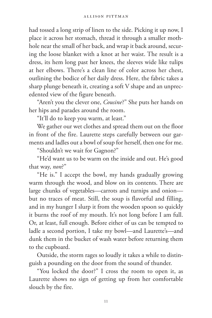had tossed a long strip of linen to the side. Picking it up now, I place it across her stomach, thread it through a smaller mothhole near the small of her back, and wrap it back around, securing the loose blanket with a knot at her waist. The result is a dress, its hem long past her knees, the sleeves wide like tulips at her elbows. There's a clean line of color across her chest, outlining the bodice of her daily dress. Here, the fabric takes a sharp plunge beneath it, creating a soft V shape and an unprecedented view of the figure beneath.

"Aren't you the clever one, *Cousine*?" She puts her hands on her hips and parades around the room.

"It'll do to keep you warm, at least."

We gather our wet clothes and spread them out on the floor in front of the fire. Laurette steps carefully between our garments and ladles out a bowl of soup for herself, then one for me.

"Shouldn't we wait for Gagnon?"

"He'd want us to be warm on the inside and out. He's good that way, *non*?"

"He is." I accept the bowl, my hands gradually growing warm through the wood, and blow on its contents. There are large chunks of vegetables—carrots and turnips and onion but no traces of meat. Still, the soup is flavorful and filling, and in my hunger I slurp it from the wooden spoon so quickly it burns the roof of my mouth. It's not long before I am full. Or, at least, full enough. Before either of us can be tempted to ladle a second portion, I take my bowl—and Laurette's—and dunk them in the bucket of wash water before returning them to the cupboard.

Outside, the storm rages so loudly it takes a while to distinguish a pounding on the door from the sound of thunder.

"You locked the door?" I cross the room to open it, as Laurette shows no sign of getting up from her comfortable slouch by the fire.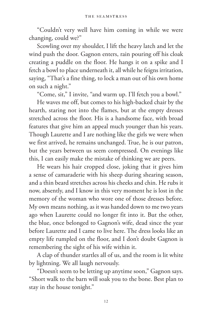"Couldn't very well have him coming in while we were changing, could we?"

Scowling over my shoulder, I lift the heavy latch and let the wind push the door. Gagnon enters, rain pouring off his cloak creating a puddle on the floor. He hangs it on a spike and I fetch a bowl to place underneath it, all while he feigns irritation, saying, "That's a fine thing, to lock a man out of his own home on such a night."

"Come, sit," I invite, "and warm up. I'll fetch you a bowl."

He waves me off, but comes to his high-backed chair by the hearth, staring not into the flames, but at the empty dresses stretched across the floor. His is a handsome face, with broad features that give him an appeal much younger than his years. Though Laurette and I are nothing like the girls we were when we first arrived, he remains unchanged. True, he is our patron, but the years between us seem compressed. On evenings like this, I can easily make the mistake of thinking we are peers.

He wears his hair cropped close, joking that it gives him a sense of camaraderie with his sheep during shearing season, and a thin beard stretches across his cheeks and chin. He rubs it now, absently, and I know in this very moment he is lost in the memory of the woman who wore one of those dresses before. My own means nothing, as it was handed down to me two years ago when Laurette could no longer fit into it. But the other, the blue, once belonged to Gagnon's wife, dead since the year before Laurette and I came to live here. The dress looks like an empty life rumpled on the floor, and I don't doubt Gagnon is remembering the sight of his wife within it.

A clap of thunder startles all of us, and the room is lit white by lightning. We all laugh nervously.

"Doesn't seem to be letting up anytime soon," Gagnon says. "Short walk to the barn will soak you to the bone. Best plan to stay in the house tonight."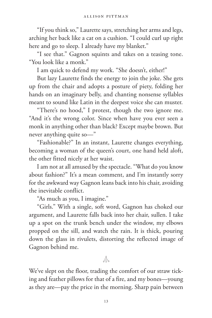"If you think so," Laurette says, stretching her arms and legs, arching her back like a cat on a cushion. "I could curl up right here and go to sleep. I already have my blanket."

"I see that." Gagnon squints and takes on a teasing tone. "You look like a monk."

I am quick to defend my work. "She doesn't, either!"

But lazy Laurette finds the energy to join the joke. She gets up from the chair and adopts a posture of piety, folding her hands on an imaginary belly, and chanting nonsense syllables meant to sound like Latin in the deepest voice she can muster.

"There's no hood," I protest, though the two ignore me. "And it's the wrong color. Since when have you ever seen a monk in anything other than black? Except maybe brown. But never anything quite so—"

"Fashionable?" In an instant, Laurette changes everything, becoming a woman of the queen's court, one hand held aloft, the other fitted nicely at her waist.

I am not at all amused by the spectacle. "What do you know about fashion?" It's a mean comment, and I'm instantly sorry for the awkward way Gagnon leans back into his chair, avoiding the inevitable conflict.

"As much as you, I imagine."

"Girls." With a single, soft word, Gagnon has choked our argument, and Laurette falls back into her chair, sullen. I take up a spot on the trunk bench under the window, my elbows propped on the sill, and watch the rain. It is thick, pouring down the glass in rivulets, distorting the reflected image of Gagnon behind me.

We've slept on the floor, trading the comfort of our straw ticking and feather pillows for that of a fire, and my bones—young as they are—pay the price in the morning. Sharp pain between

 $\sqrt{\frac{1}{2}}$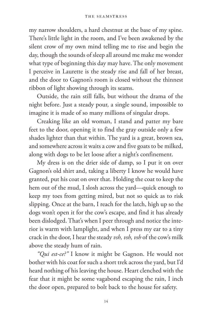my narrow shoulders, a hard chestnut at the base of my spine. There's little light in the room, and I've been awakened by the silent crow of my own mind telling me to rise and begin the day, though the sounds of sleep all around me make me wonder what type of beginning this day may have. The only movement I perceive in Laurette is the steady rise and fall of her breast, and the door to Gagnon's room is closed without the thinnest ribbon of light showing through its seams.

Outside, the rain still falls, but without the drama of the night before. Just a steady pour, a single sound, impossible to imagine it is made of so many millions of singular drops.

Creaking like an old woman, I stand and patter my bare feet to the door, opening it to find the gray outside only a few shades lighter than that within. The yard is a great, brown sea, and somewhere across it waits a cow and five goats to be milked, along with dogs to be let loose after a night's confinement.

My dress is on the drier side of damp, so I put it on over Gagnon's old shirt and, taking a liberty I know he would have granted, put his coat on over that. Holding the coat to keep the hem out of the mud, I slosh across the yard—quick enough to keep my toes from getting mired, but not so quick as to risk slipping. Once at the barn, I reach for the latch, high up so the dogs won't open it for the cow's escape, and find it has already been dislodged. That's when I peer through and notice the interior is warm with lamplight, and when I press my ear to a tiny crack in the door, I hear the steady *vsh, vsh, vsh* of the cow's milk above the steady hum of rain.

*"Qui est-ce?"* I know it might be Gagnon. He would not bother with his coat for such a short trek across the yard, but I'd heard nothing of his leaving the house. Heart clenched with the fear that it might be some vagabond escaping the rain, I inch the door open, prepared to bolt back to the house for safety.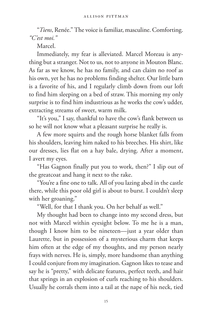"*Tiens*, Renée." The voice is familiar, masculine. Comforting. *"C'est moi."*

Marcel.

Immediately, my fear is alleviated. Marcel Moreau is anything but a stranger. Not to us, not to anyone in Mouton Blanc. As far as we know, he has no family, and can claim no roof as his own, yet he has no problems finding shelter. Our little barn is a favorite of his, and I regularly climb down from our loft to find him sleeping on a bed of straw. This morning my only surprise is to find him industrious as he works the cow's udder, extracting streams of sweet, warm milk.

"It's you," I say, thankful to have the cow's flank between us so he will not know what a pleasant surprise he really is.

A few more squirts and the rough horse blanket falls from his shoulders, leaving him naked to his breeches. His shirt, like our dresses, lies flat on a hay bale, drying. After a moment, I avert my eyes.

"Has Gagnon finally put you to work, then?" I slip out of the greatcoat and hang it next to the rake.

"You're a fine one to talk. All of you lazing abed in the castle there, while this poor old girl is about to burst. I couldn't sleep with her groaning."

"Well, for that I thank you. On her behalf as well."

My thought had been to change into my second dress, but not with Marcel within eyesight below. To me he is a man, though I know him to be nineteen— just a year older than Laurette, but in possession of a mysterious charm that keeps him often at the edge of my thoughts, and my person nearly frays with nerves. He is, simply, more handsome than anything I could conjure from my imagination. Gagnon likes to tease and say he is "pretty," with delicate features, perfect teeth, and hair that springs in an explosion of curls reaching to his shoulders. Usually he corrals them into a tail at the nape of his neck, tied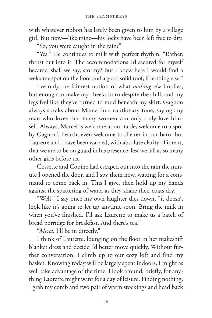with whatever ribbon has lately been given to him by a village girl. But now—like mine—his locks have been left free to dry.

"So, you were caught in the rain?"

"Yes." He continues to milk with perfect rhythm. "Rather, thrust out into it. The accommodations I'd secured for myself became, shall we say, stormy? But I knew here I would find a welcome spot on the floor and a good solid roof, if nothing else."

I've only the faintest notion of what *nothing else* implies, but enough to make my cheeks burn despite the chill, and my legs feel like they've turned to mud beneath my skirt. Gagnon always speaks about Marcel in a cautionary tone, saying any man who loves that many women can only truly love himself. Always, Marcel is welcome at our table, welcome to a spot by Gagnon's hearth, even welcome to shelter in our barn, but Laurette and I have been warned, with absolute clarity of intent, that we are to be on guard in his presence, lest we fall as so many other girls before us.

Cossette and Copine had escaped out into the rain the minute I opened the door, and I spy them now, waiting for a command to come back in. This I give, then hold up my hands against the spattering of water as they shake their coats dry.

"Well," I say once my own laughter dies down, "it doesn't look like it's going to let up anytime soon. Bring the milk in when you've finished. I'll ask Laurette to make us a batch of bread porridge for breakfast. And there's tea."

"*Merci*. I'll be in directly."

I think of Laurette, lounging on the floor in her makeshift blanket dress and decide I'd better move quickly. Without further conversation, I climb up to our cozy loft and find my basket. Knowing today will be largely spent indoors, I might as well take advantage of the time. I look around, briefly, for anything Laurette might want for a day of leisure. Finding nothing, I grab my comb and two pair of warm stockings and head back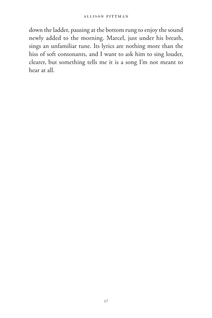down the ladder, pausing at the bottom rung to enjoy the sound newly added to the morning. Marcel, just under his breath, sings an unfamiliar tune. Its lyrics are nothing more than the hiss of soft consonants, and I want to ask him to sing louder, clearer, but something tells me it is a song I'm not meant to hear at all.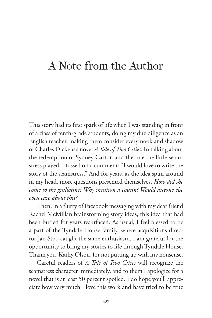## A Note from the Author

This story had its first spark of life when I was standing in front of a class of tenth-grade students, doing my due diligence as an English teacher, making them consider every nook and shadow of Charles Dickens's novel *A Tale of Two Cities*. In talking about the redemption of Sydney Carton and the role the little seamstress played, I tossed off a comment: "I would love to write the story of the seamstress." And for years, as the idea spun around in my head, more questions presented themselves. *How did she come to the guillotine? Why mention a cousin? Would anyone else even care about this?*

Then, in a flurry of Facebook messaging with my dear friend Rachel McMillan brainstorming story ideas, this idea that had been buried for years resurfaced. As usual, I feel blessed to be a part of the Tyndale House family, where acquisitions director Jan Stob caught the same enthusiasm. I am grateful for the opportunity to bring my stories to life through Tyndale House. Thank you, Kathy Olson, for not putting up with my nonsense.

Careful readers of *A Tale of Two Cities* will recognize the seamstress character immediately, and to them I apologize for a novel that is at least 50 percent spoiled. I do hope you'll appreciate how very much I love this work and have tried to be true